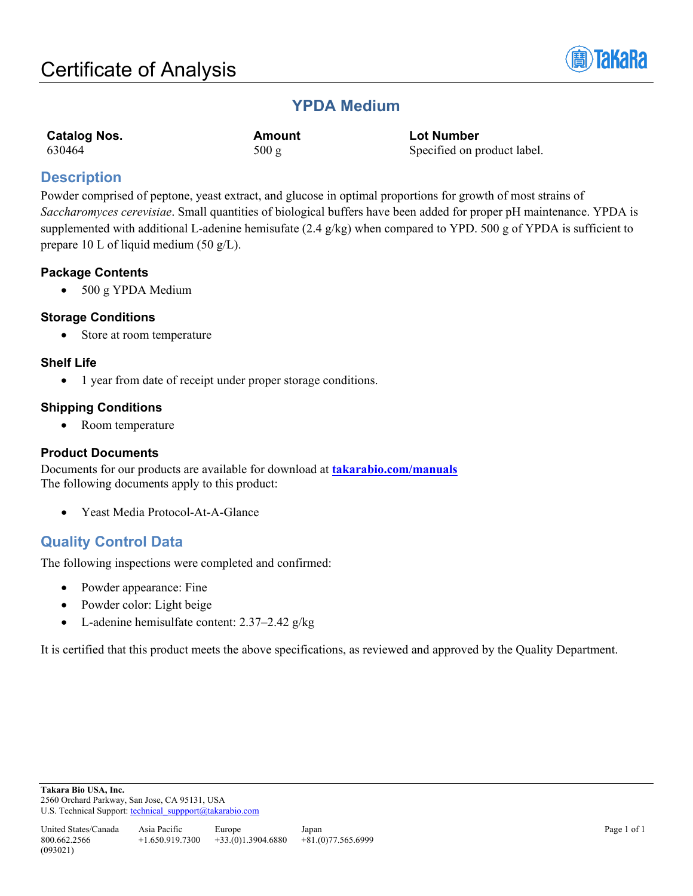

# **YPDA Medium**

| <b>Catalog Nos.</b> | Amount | <b>Lot Number</b>           |
|---------------------|--------|-----------------------------|
| 630464              | 500 g  | Specified on product label. |

## **Description**

Powder comprised of peptone, yeast extract, and glucose in optimal proportions for growth of most strains of *Saccharomyces cerevisiae*. Small quantities of biological buffers have been added for proper pH maintenance. YPDA is supplemented with additional L-adenine hemisufate  $(2.4 \text{ g/kg})$  when compared to YPD. 500 g of YPDA is sufficient to prepare 10 L of liquid medium (50 g/L).

## **Package Contents**

• 500 g YPDA Medium

## **Storage Conditions**

• Store at room temperature

## **Shelf Life**

• 1 year from date of receipt under proper storage conditions.

## **Shipping Conditions**

• Room temperature

## **Product Documents**

Documents for our products are available for download at **[takarabio.com/manuals](http://www.takarabio.com/manuals)** The following documents apply to this product:

• Yeast Media Protocol-At-A-Glance

## **Quality Control Data**

The following inspections were completed and confirmed:

- Powder appearance: Fine
- Powder color: Light beige
- L-adenine hemisulfate content: 2.37–2.42 g/kg

It is certified that this product meets the above specifications, as reviewed and approved by the Quality Department.